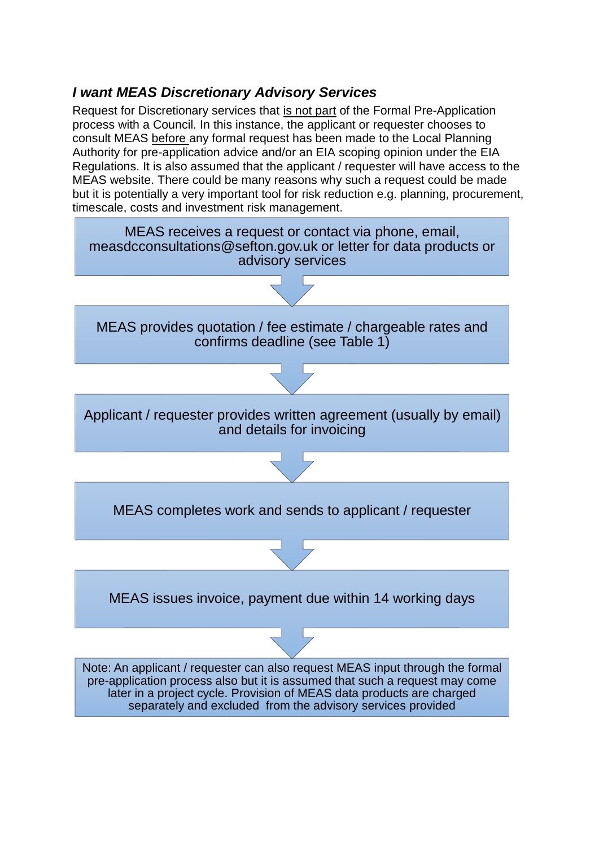## *I want MEAS Discretionary Advisory Services*

Request for Discretionary services that is not part of the Formal Pre-Application process with a Council. In this instance, the applicant or requester chooses to consult MEAS before any formal request has been made to the Local Planning Authority for pre-application advice and/or an EIA scoping opinion under the EIA Regulations. It is also assumed that the applicant / requester will have access to the MEAS website. There could be many reasons why such a request could be made but it is potentially a very important tool for risk reduction e.g. planning, procurement, timescale, costs and investment risk management.